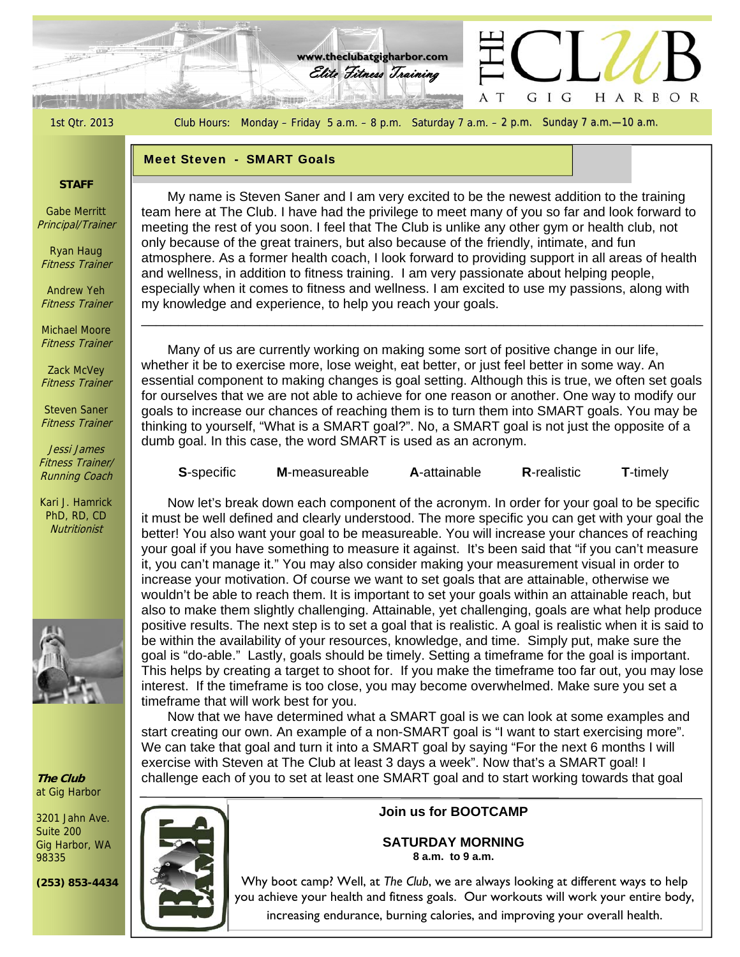1st Qtr. 2013 Club Hours: Monday – Friday 5 a.m. – 8 p.m. Saturday 7 a.m. – 2 p.m. Sunday 7 a.m. – 10 a.m.

HARBOR

G I

G

Elite Fitness Training Elite Training **www.theclubatgigharbor.com**

#### **Meet Steven - SMART Goals**

**SERING** 

### **STAFF**

Gabe Merritt Principal/Trainer

Ryan Haug Fitness Trainer

Andrew Yeh Fitness Trainer

Michael Moore Fitness Trainer

Zack McVey Fitness Trainer

Steven Saner Fitness Trainer

Jessi James Fitness Trainer/ Running Coach

Kari J. Hamrick PhD, RD, CD **Nutritionist** 



**The Club**  at Gig Harbor

3201 Jahn Ave. Suite 200 Gig Harbor, WA 98335

**(253) 853-4434** 



meeting the rest of you soon. I feel that The Club is unlike any other gym of health cli<br>only because of the great trainers, but also because of the friendly, intimate, and fun My name is Steven Saner and I am very excited to be the newest addition to the training team here at The Club. I have had the privilege to meet many of you so far and look forward to meeting the rest of you soon. I feel that The Club is unlike any other gym or health club, not atmosphere. As a former health coach, I look forward to providing support in all areas of health and wellness, in addition to fitness training. I am very passionate about helping people, especially when it comes to fitness and wellness. I am excited to use my passions, along with my knowledge and experience, to help you reach your goals.

 Many of us are currently working on making some sort of positive change in our life, whether it be to exercise more, lose weight, eat better, or just feel better in some way. An essential component to making changes is goal setting. Although this is true, we often set goals for ourselves that we are not able to achieve for one reason or another. One way to modify our goals to increase our chances of reaching them is to turn them into SMART goals. You may be thinking to yourself, "What is a SMART goal?". No, a SMART goal is not just the opposite of a dumb goal. In this case, the word SMART is used as an acronym.

\_\_\_\_\_\_\_\_\_\_\_\_\_\_\_\_\_\_\_\_\_\_\_\_\_\_\_\_\_\_\_\_\_\_\_\_\_\_\_\_\_\_\_\_\_\_\_\_\_\_\_\_\_\_\_\_\_\_\_\_\_\_\_\_\_\_\_\_\_\_\_\_\_\_\_\_

| <b>S</b> -specific | <b>M-measureable</b> | A-attainable | <b>R-realistic</b> | <b>T</b> -timely |
|--------------------|----------------------|--------------|--------------------|------------------|
|                    |                      |              |                    |                  |

 Now let's break down each component of the acronym. In order for your goal to be specific it must be well defined and clearly understood. The more specific you can get with your goal the better! You also want your goal to be measureable. You will increase your chances of reaching your goal if you have something to measure it against. It's been said that "if you can't measure it, you can't manage it." You may also consider making your measurement visual in order to increase your motivation. Of course we want to set goals that are attainable, otherwise we wouldn't be able to reach them. It is important to set your goals within an attainable reach, but also to make them slightly challenging. Attainable, yet challenging, goals are what help produce positive results. The next step is to set a goal that is realistic. A goal is realistic when it is said to be within the availability of your resources, knowledge, and time. Simply put, make sure the goal is "do-able." Lastly, goals should be timely. Setting a timeframe for the goal is important. This helps by creating a target to shoot for. If you make the timeframe too far out, you may lose interest. If the timeframe is too close, you may become overwhelmed. Make sure you set a timeframe that will work best for you.

 Now that we have determined what a SMART goal is we can look at some examples and start creating our own. An example of a non-SMART goal is "I want to start exercising more". We can take that goal and turn it into a SMART goal by saying "For the next 6 months I will exercise with Steven at The Club at least 3 days a week". Now that's a SMART goal! I challenge each of you to set at least one SMART goal and to start working towards that goal

**Join us for BOOTCAMP** 

**SATURDAY MORNING 8 a.m. to 9 a.m.** 

Why boot camp? Well, at *The Club*, we are always looking at different ways to help you achieve your health and fitness goals. Our workouts will work your entire body, increasing endurance, burning calories, and improving your overall health.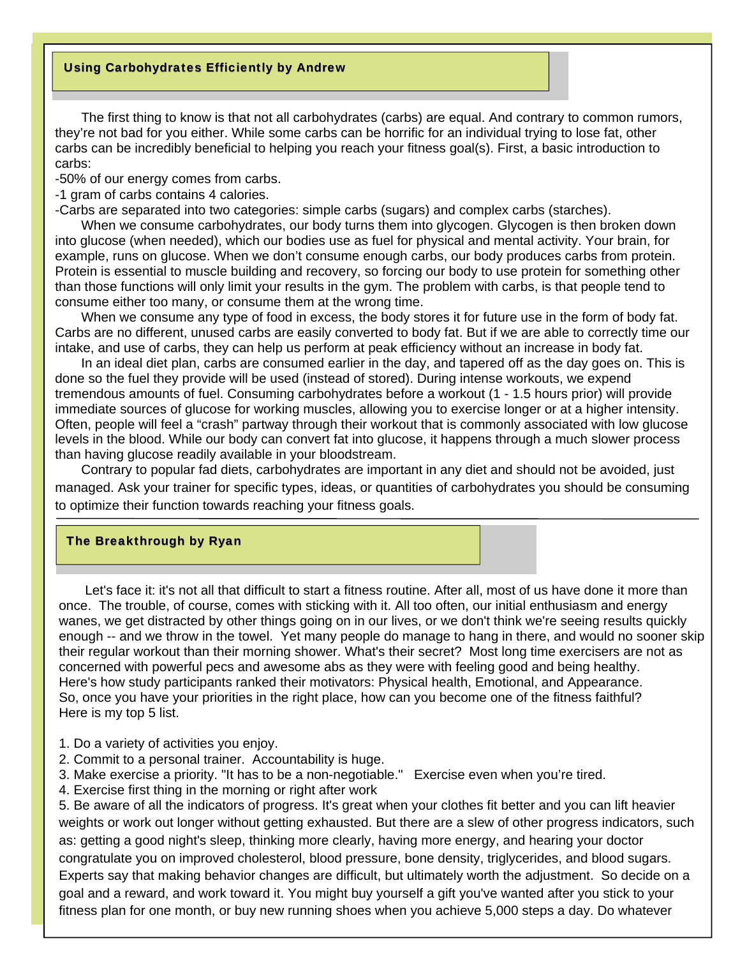## Using Carbohydrates Efficiently by Andrew

 The first thing to know is that not all carbohydrates (carbs) are equal. And contrary to common rumors, they're not bad for you either. While some carbs can be horrific for an individual trying to lose fat, other carbs can be incredibly beneficial to helping you reach your fitness goal(s). First, a basic introduction to carbs:

-50% of our energy comes from carbs.

-1 gram of carbs contains 4 calories.

-Carbs are separated into two categories: simple carbs (sugars) and complex carbs (starches).

 When we consume carbohydrates, our body turns them into glycogen. Glycogen is then broken down into glucose (when needed), which our bodies use as fuel for physical and mental activity. Your brain, for example, runs on glucose. When we don't consume enough carbs, our body produces carbs from protein. Protein is essential to muscle building and recovery, so forcing our body to use protein for something other than those functions will only limit your results in the gym. The problem with carbs, is that people tend to consume either too many, or consume them at the wrong time.

 When we consume any type of food in excess, the body stores it for future use in the form of body fat. Carbs are no different, unused carbs are easily converted to body fat. But if we are able to correctly time our intake, and use of carbs, they can help us perform at peak efficiency without an increase in body fat.

 In an ideal diet plan, carbs are consumed earlier in the day, and tapered off as the day goes on. This is done so the fuel they provide will be used (instead of stored). During intense workouts, we expend tremendous amounts of fuel. Consuming carbohydrates before a workout (1 - 1.5 hours prior) will provide immediate sources of glucose for working muscles, allowing you to exercise longer or at a higher intensity. Often, people will feel a "crash" partway through their workout that is commonly associated with low glucose levels in the blood. While our body can convert fat into glucose, it happens through a much slower process than having glucose readily available in your bloodstream.

 Contrary to popular fad diets, carbohydrates are important in any diet and should not be avoided, just managed. Ask your trainer for specific types, ideas, or quantities of carbohydrates you should be consuming to optimize their function towards reaching your fitness goals.

#### The Breakthrough by Ryan

Let's face it: it's not all that difficult to start a fitness routine. After all, most of us have done it more than once. The trouble, of course, comes with sticking with it. All too often, our initial enthusiasm and energy wanes, we get distracted by other things going on in our lives, or we don't think we're seeing results quickly enough -- and we throw in the towel. Yet many people do manage to hang in there, and would no sooner skip their regular workout than their morning shower. What's their secret? Most long time exercisers are not as concerned with powerful pecs and awesome abs as they were with feeling good and being healthy. Here's how study participants ranked their motivators: Physical health, Emotional, and Appearance. So, once you have your priorities in the right place, how can you become one of the fitness faithful? Here is my top 5 list.

- 1. Do a variety of activities you enjoy.
- 2. Commit to a personal trainer. Accountability is huge.
- 3. Make exercise a priority. "It has to be a non-negotiable." Exercise even when you're tired.
- 4. Exercise first thing in the morning or right after work

5. Be aware of all the indicators of progress. It's great when your clothes fit better and you can lift heavier weights or work out longer without getting exhausted. But there are a slew of other progress indicators, such as: getting a good night's sleep, thinking more clearly, having more energy, and hearing your doctor congratulate you on improved cholesterol, blood pressure, bone density, triglycerides, and blood sugars. Experts say that making behavior changes are difficult, but ultimately worth the adjustment. So decide on a goal and a reward, and work toward it. You might buy yourself a gift you've wanted after you stick to your fitness plan for one month, or buy new running shoes when you achieve 5,000 steps a day. Do whatever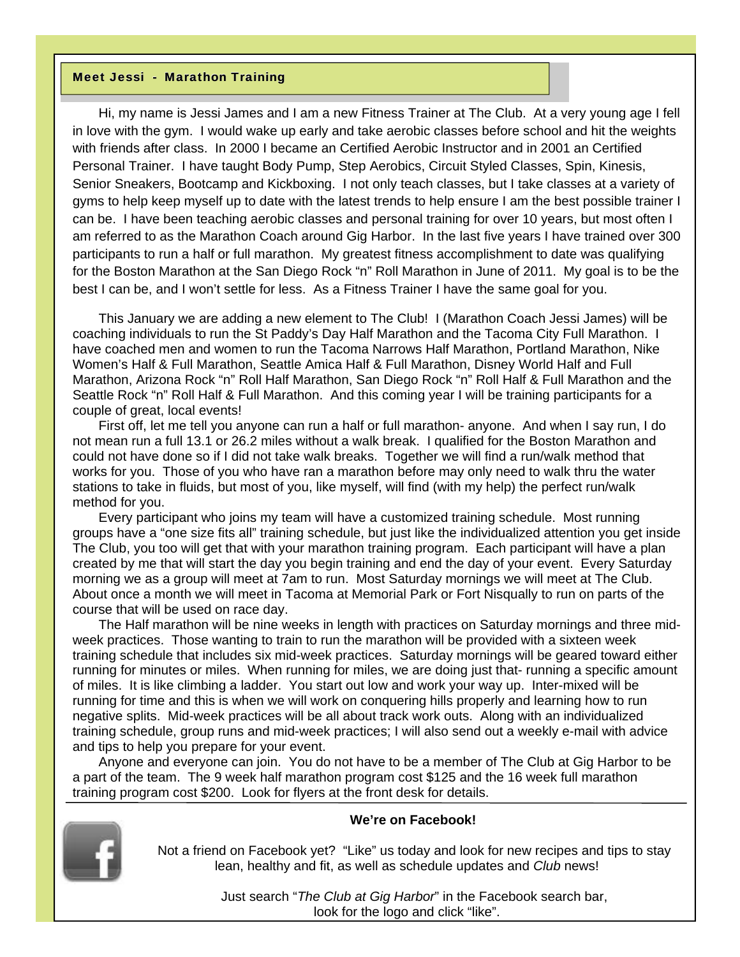#### Meet Jessi - Marathon Training

 Hi, my name is Jessi James and I am a new Fitness Trainer at The Club. At a very young age I fell in love with the gym. I would wake up early and take aerobic classes before school and hit the weights with friends after class. In 2000 I became an Certified Aerobic Instructor and in 2001 an Certified Personal Trainer. I have taught Body Pump, Step Aerobics, Circuit Styled Classes, Spin, Kinesis, Senior Sneakers, Bootcamp and Kickboxing. I not only teach classes, but I take classes at a variety of gyms to help keep myself up to date with the latest trends to help ensure I am the best possible trainer I can be. I have been teaching aerobic classes and personal training for over 10 years, but most often I am referred to as the Marathon Coach around Gig Harbor. In the last five years I have trained over 300 participants to run a half or full marathon. My greatest fitness accomplishment to date was qualifying for the Boston Marathon at the San Diego Rock "n" Roll Marathon in June of 2011. My goal is to be the best I can be, and I won't settle for less. As a Fitness Trainer I have the same goal for you.

 This January we are adding a new element to The Club! I (Marathon Coach Jessi James) will be coaching individuals to run the St Paddy's Day Half Marathon and the Tacoma City Full Marathon. I have coached men and women to run the Tacoma Narrows Half Marathon, Portland Marathon, Nike Women's Half & Full Marathon, Seattle Amica Half & Full Marathon, Disney World Half and Full Marathon, Arizona Rock "n" Roll Half Marathon, San Diego Rock "n" Roll Half & Full Marathon and the Seattle Rock "n" Roll Half & Full Marathon. And this coming year I will be training participants for a couple of great, local events!

 First off, let me tell you anyone can run a half or full marathon- anyone. And when I say run, I do not mean run a full 13.1 or 26.2 miles without a walk break. I qualified for the Boston Marathon and could not have done so if I did not take walk breaks. Together we will find a run/walk method that works for you. Those of you who have ran a marathon before may only need to walk thru the water stations to take in fluids, but most of you, like myself, will find (with my help) the perfect run/walk method for you.

 Every participant who joins my team will have a customized training schedule. Most running groups have a "one size fits all" training schedule, but just like the individualized attention you get inside The Club, you too will get that with your marathon training program. Each participant will have a plan created by me that will start the day you begin training and end the day of your event. Every Saturday morning we as a group will meet at 7am to run. Most Saturday mornings we will meet at The Club. About once a month we will meet in Tacoma at Memorial Park or Fort Nisqually to run on parts of the course that will be used on race day.

 The Half marathon will be nine weeks in length with practices on Saturday mornings and three midweek practices. Those wanting to train to run the marathon will be provided with a sixteen week training schedule that includes six mid-week practices. Saturday mornings will be geared toward either running for minutes or miles. When running for miles, we are doing just that- running a specific amount of miles. It is like climbing a ladder. You start out low and work your way up. Inter-mixed will be running for time and this is when we will work on conquering hills properly and learning how to run negative splits. Mid-week practices will be all about track work outs. Along with an individualized training schedule, group runs and mid-week practices; I will also send out a weekly e-mail with advice and tips to help you prepare for your event.

 Anyone and everyone can join. You do not have to be a member of The Club at Gig Harbor to be a part of the team. The 9 week half marathon program cost \$125 and the 16 week full marathon training program cost \$200. Look for flyers at the front desk for details.



## **We're on Facebook!**

 Not a friend on Facebook yet? "Like" us today and look for new recipes and tips to stay lean, healthy and fit, as well as schedule updates and *Club* news!

> Just search "*The Club at Gig Harbor*" in the Facebook search bar, look for the logo and click "like".